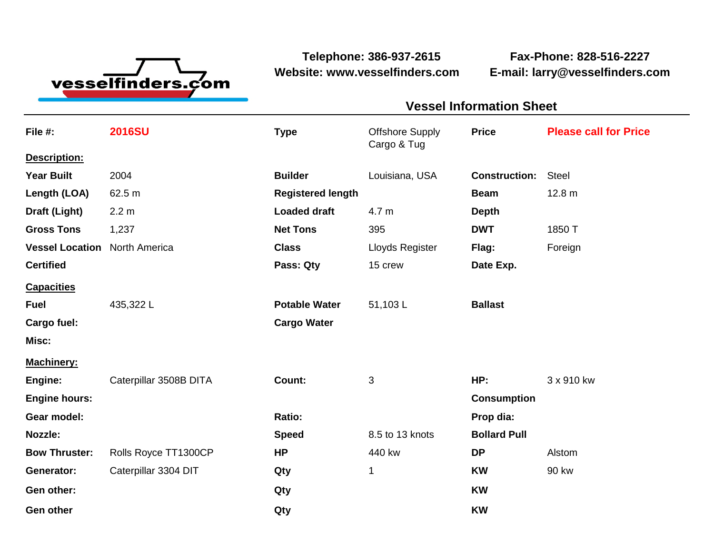

**Telephone: 386-937-2615 Fax-Phone: 828-516-2227 Website: www.vesselfinders.com E-mail: larry@vesselfinders.com**

## **Vessel Information Sheet Vessel Information Sheet**

| File #:                | <b>2016SU</b>          | <b>Type</b>              | <b>Offshore Supply</b><br>Cargo & Tug | <b>Price</b>         | <b>Please call for Price</b> |
|------------------------|------------------------|--------------------------|---------------------------------------|----------------------|------------------------------|
| Description:           |                        |                          |                                       |                      |                              |
| <b>Year Built</b>      | 2004                   | <b>Builder</b>           | Louisiana, USA                        | <b>Construction:</b> | <b>Steel</b>                 |
| Length (LOA)           | 62.5 m                 | <b>Registered length</b> |                                       | <b>Beam</b>          | 12.8 <sub>m</sub>            |
| Draft (Light)          | 2.2 m                  | <b>Loaded draft</b>      | 4.7 m                                 | <b>Depth</b>         |                              |
| <b>Gross Tons</b>      | 1,237                  | <b>Net Tons</b>          | 395                                   | <b>DWT</b>           | 1850 T                       |
| <b>Vessel Location</b> | <b>North America</b>   | <b>Class</b>             | Lloyds Register                       | Flag:                | Foreign                      |
| <b>Certified</b>       |                        | Pass: Qty                | 15 crew                               | Date Exp.            |                              |
| <b>Capacities</b>      |                        |                          |                                       |                      |                              |
| <b>Fuel</b>            | 435,322L               | <b>Potable Water</b>     | 51,103L                               | <b>Ballast</b>       |                              |
| Cargo fuel:            |                        | <b>Cargo Water</b>       |                                       |                      |                              |
| Misc:                  |                        |                          |                                       |                      |                              |
| <b>Machinery:</b>      |                        |                          |                                       |                      |                              |
| Engine:                | Caterpillar 3508B DITA | Count:                   | 3                                     | HP:                  | 3 x 910 kw                   |
| <b>Engine hours:</b>   |                        |                          |                                       | <b>Consumption</b>   |                              |
| Gear model:            |                        | Ratio:                   |                                       | Prop dia:            |                              |
| Nozzle:                |                        | <b>Speed</b>             | 8.5 to 13 knots                       | <b>Bollard Pull</b>  |                              |
| <b>Bow Thruster:</b>   | Rolls Royce TT1300CP   | <b>HP</b>                | 440 kw                                | <b>DP</b>            | Alstom                       |
| Generator:             | Caterpillar 3304 DIT   | Qty                      | 1                                     | <b>KW</b>            | 90 kw                        |
| Gen other:             |                        | Qty                      |                                       | <b>KW</b>            |                              |
| <b>Gen other</b>       |                        | Qty                      |                                       | <b>KW</b>            |                              |